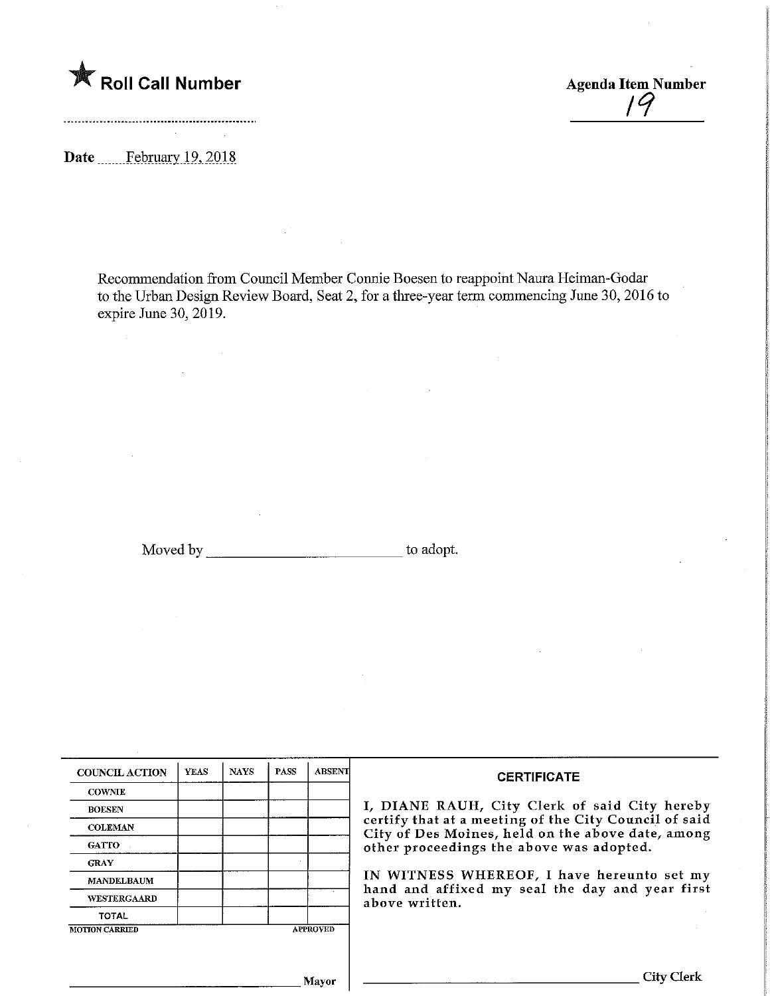

Date ...........February 19, 2018

Recommendation from Council Member Connie Boesen to reappoint Naura Heiman-Godar to the Urban Design Review Board, Seat 2, for a three-year term commencing June 30, 2016 to expire June 30, 2019.

Moved by to adopt.

| <b>COUNCIL ACTION</b> | <b>YEAS</b> | <b>NAYS</b> | <b>PASS</b> | <b>ABSENT</b>   | <b>CERTIFICATE</b>                                                                                         |  |  |  |  |  |
|-----------------------|-------------|-------------|-------------|-----------------|------------------------------------------------------------------------------------------------------------|--|--|--|--|--|
| <b>COWNIE</b>         |             |             |             |                 |                                                                                                            |  |  |  |  |  |
| <b>BOESEN</b>         |             |             |             |                 | I, DIANE RAUH, City Clerk of said City hereby                                                              |  |  |  |  |  |
| <b>COLEMAN</b>        |             |             |             |                 | certify that at a meeting of the City Council of said<br>City of Des Moines, held on the above date, among |  |  |  |  |  |
| <b>GATTO</b>          |             |             |             |                 | other proceedings the above was adopted.                                                                   |  |  |  |  |  |
| <b>GRAY</b>           |             |             |             |                 |                                                                                                            |  |  |  |  |  |
| <b>MANDELBAUM</b>     |             |             |             |                 | IN WITNESS WHEREOF, I have hereunto set my                                                                 |  |  |  |  |  |
| WESTERGAARD           |             |             |             |                 | hand and affixed my seal the day and year first<br>above written.                                          |  |  |  |  |  |
| <b>TOTAL</b>          |             |             |             |                 |                                                                                                            |  |  |  |  |  |
| <b>MOTION CARRIED</b> |             |             |             | <b>APPROVED</b> |                                                                                                            |  |  |  |  |  |
|                       |             |             |             |                 |                                                                                                            |  |  |  |  |  |
|                       |             |             |             |                 |                                                                                                            |  |  |  |  |  |
|                       |             |             |             | Mavor           | City                                                                                                       |  |  |  |  |  |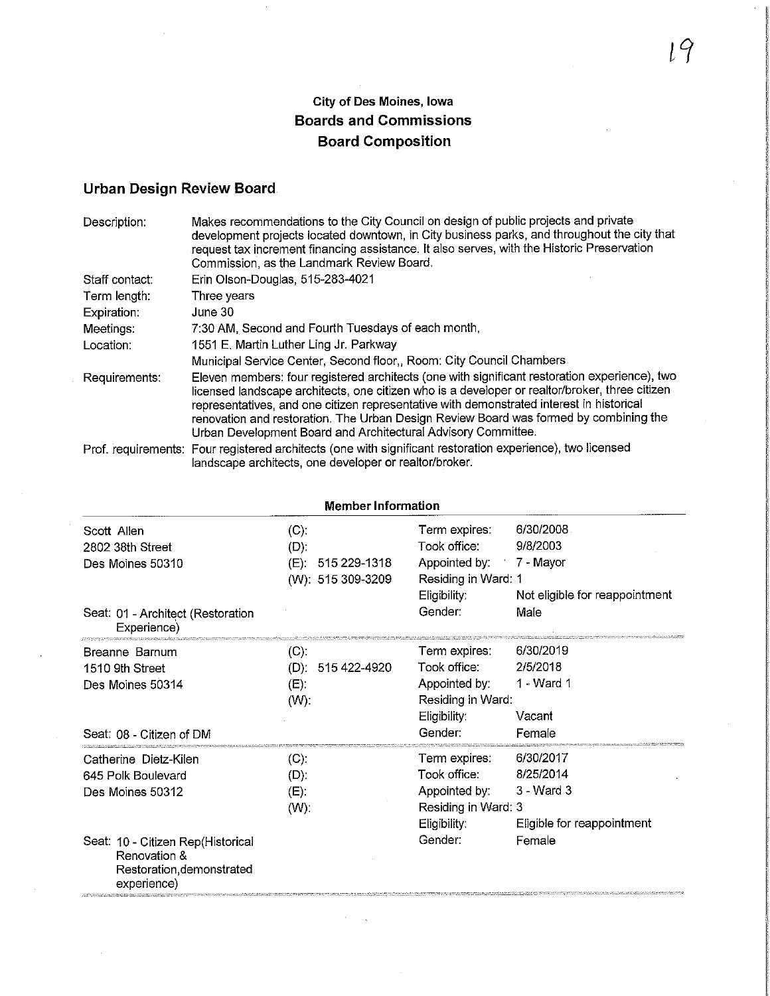## City of Des Moines, Iowa Boards and Commissions Board Composition

## Urban Design Review Board

| Description:   | Makes recommendations to the City Council on design of public projects and private<br>development projects located downtown, in City business parks, and throughout the city that<br>request tax increment financing assistance. It also serves, with the Historic Preservation<br>Commission, as the Landmark Review Board.                                                                                                                          |
|----------------|-------------------------------------------------------------------------------------------------------------------------------------------------------------------------------------------------------------------------------------------------------------------------------------------------------------------------------------------------------------------------------------------------------------------------------------------------------|
| Staff contact: | Erin Olson-Douglas, 515-283-4021                                                                                                                                                                                                                                                                                                                                                                                                                      |
| Term length:   | Three years                                                                                                                                                                                                                                                                                                                                                                                                                                           |
| Expiration:    | June 30                                                                                                                                                                                                                                                                                                                                                                                                                                               |
| Meetings:      | 7:30 AM, Second and Fourth Tuesdays of each month,                                                                                                                                                                                                                                                                                                                                                                                                    |
| Location:      | 1551 E. Martin Luther Ling Jr. Parkway                                                                                                                                                                                                                                                                                                                                                                                                                |
|                | Municipal Service Center, Second floor,, Room: City Council Chambers.                                                                                                                                                                                                                                                                                                                                                                                 |
| Requirements:  | Eleven members: four registered architects (one with significant restoration experience), two<br>licensed landscape architects, one citizen who is a developer or realtor/broker, three citizen<br>representatives, and one citizen representative with demonstrated interest in historical<br>renovation and restoration. The Urban Design Review Board was formed by combining the<br>Urban Development Board and Architectural Advisory Committee. |
|                | Prof. requirements: Four registered architects (one with significant restoration experience), two licensed<br>landscape architects, one developer or realtor/broker.                                                                                                                                                                                                                                                                                  |

| <b>Member Information</b>                                                                     |                         |                         |                                |  |
|-----------------------------------------------------------------------------------------------|-------------------------|-------------------------|--------------------------------|--|
| Scott Allen                                                                                   | (C).                    | Term expires:           | 6/30/2008                      |  |
| 2802 38th Street                                                                              | $(D)$ :                 | Took office:            | 9/8/2003                       |  |
| Des Moines 50310                                                                              | (E):<br>515 229-1318    | Appointed by: 7 - Mayor |                                |  |
|                                                                                               | (W): 515 309-3209       | Residing in Ward: 1     |                                |  |
|                                                                                               |                         | Eligibility:            | Not eligible for reappointment |  |
| Seat: 01 - Architect (Restoration<br>Experience)                                              |                         | Gender:                 | Male                           |  |
| Breanne Barnum                                                                                | (C)                     | Term expires:           | 6/30/2019                      |  |
| 1510 9th Street                                                                               | 515 422-4920<br>$(D)$ . | Took office:            | 2/5/2018                       |  |
| Des Moines 50314                                                                              | (E)                     | Appointed by:           | 1 - Ward 1                     |  |
|                                                                                               | $(W)$ :                 | Residing in Ward:       |                                |  |
|                                                                                               |                         | Eligibility:            | Vacant                         |  |
| Seat: 08 - Citizen of DM                                                                      |                         | Gender:                 | Female                         |  |
| Catherine Dietz-Kilen                                                                         | (C).                    | Term expires:           | 6/30/2017                      |  |
| 645 Polk Boulevard                                                                            | $(D)$ :                 | Took office:            | 8/25/2014                      |  |
| Des Moines 50312                                                                              | $(E)$ .                 | Appointed by:           | $3 - Ward3$                    |  |
|                                                                                               | $(W)$ :                 | Residing in Ward: 3     |                                |  |
|                                                                                               |                         | Eligibility:            | Eligible for reappointment     |  |
| Seat: 10 - Citizen Rep(Historical<br>Renovation &<br>Restoration, demonstrated<br>experience) |                         | Gender:                 | Female                         |  |

 $\mathbb{R}^2$ 

 $l^q$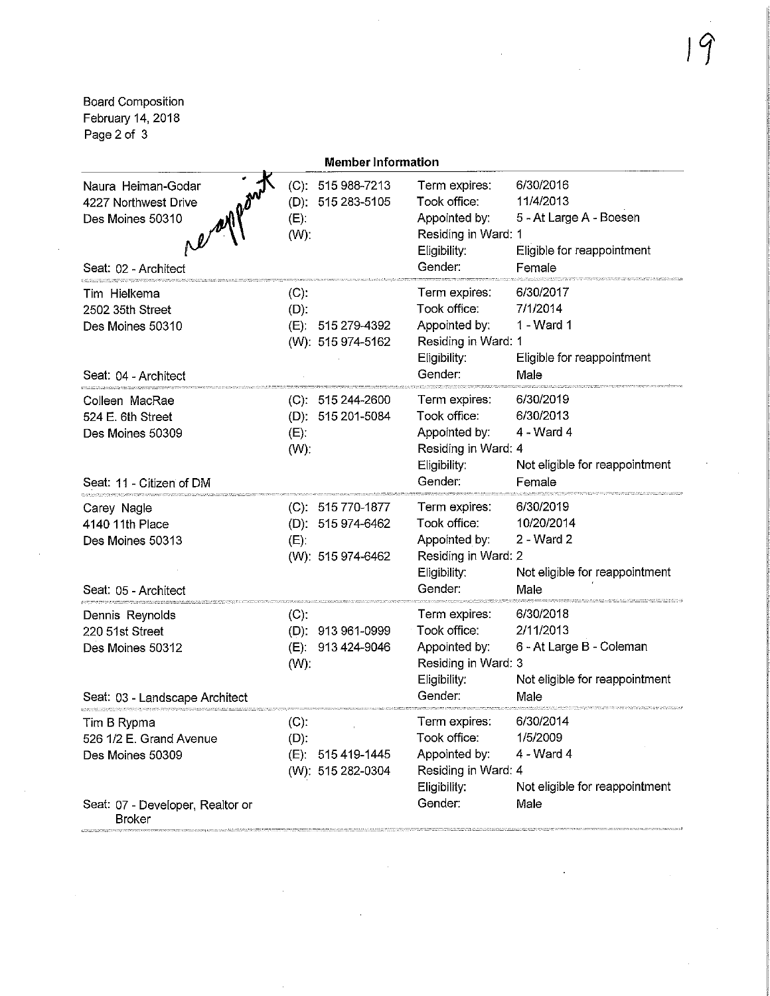Board Composition February 14,2018 Page 2 of 3

|                                                                                                | <b>Member Information</b>                                              |                                                                                                  |                                                                                              |
|------------------------------------------------------------------------------------------------|------------------------------------------------------------------------|--------------------------------------------------------------------------------------------------|----------------------------------------------------------------------------------------------|
| Naura Heiman-Godar<br>4227 Northwest Drive<br>Des Moines 50310<br>Seat: 02 - Architect         | (C): 515 988-7213<br>(D): 515 283-5105<br>$(E)$ .<br>$(W)$ :           | Term expires:<br>Took office:<br>Appointed by:<br>Residing in Ward: 1<br>Eligibility:<br>Gender: | 6/30/2016<br>11/4/2013<br>5 - At Large A - Boesen<br>Eligible for reappointment<br>Female    |
| Tim Hielkema<br>2502 35th Street<br>Des Moines 50310<br>Seat: 04 - Architect                   | $(C)$ :<br>$(D)$ :<br>(E): 515 279-4392<br>(W): 515 974-5162           | Term expires:<br>Took office:<br>Appointed by:<br>Residing in Ward: 1<br>Eligibility:<br>Gender: | 6/30/2017<br>7/1/2014<br>1 - Ward 1<br>Eligible for reappointment<br>Male                    |
| Colleen MacRae<br>524 E. 6th Street<br>Des Moines 50309<br>Seat: 11 - Citizen of DM            | (C): 515 244-2600<br>(D): 515 201-5084<br>(E)<br>(W):                  | Term expires:<br>Took office:<br>Appointed by:<br>Residing in Ward: 4<br>Eligibility:<br>Gender: | 6/30/2019<br>6/30/2013<br>4 - Ward 4<br>Not eligible for reappointment<br>Female             |
| Carey Nagle<br>4140 11th Place<br>Des Moines 50313<br>Seat: 05 - Architect                     | (C): 515 770-1877<br>(D): 515 974-6462<br>$(E)$ .<br>(W): 515 974-6462 | Term expires:<br>Took office:<br>Appointed by:<br>Residing in Ward: 2<br>Eligibility:<br>Gender: | 6/30/2019<br>10/20/2014<br>2 - Ward 2<br>Not eligible for reappointment<br>Male              |
| Dennis Reynolds<br>220 51st Street<br>Des Moines 50312<br>Seat: 03 - Landscape Architect       | (C)<br>(D): 913 961-0999<br>(E): 913 424-9046<br>$(W)$ :               | Term expires:<br>Took office:<br>Appointed by:<br>Residing in Ward: 3<br>Eligibility:<br>Gender: | 6/30/2018<br>2/11/2013<br>6 - At Large B - Coleman<br>Not eligible for reappointment<br>Male |
| Tim B Rypma<br>526 1/2 E. Grand Avenue<br>Des Moines 50309<br>Seat: 07 - Developer, Realtor or | (C).<br>$(D)$ :<br>(E): 515 419-1445<br>(W): 515 282-0304              | Term expires:<br>Took office:<br>Appointed by:<br>Residing in Ward: 4<br>Eligibility:<br>Gender: | 6/30/2014<br>1/5/2009<br>$4 - Ward 4$<br>Not eligible for reappointment<br>Male              |
| <b>Broker</b>                                                                                  |                                                                        |                                                                                                  |                                                                                              |

 $\hat{\boldsymbol{\alpha}}$ 

 $\hat{\mathcal{A}}$